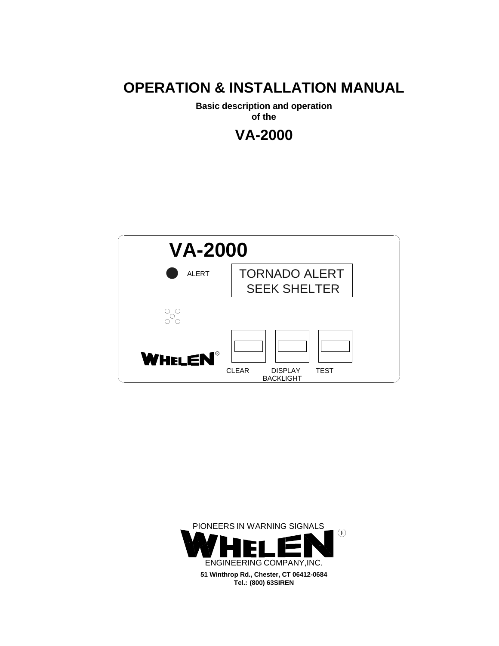# **OPERATION & INSTALLATION MANUAL**

**Basic description and operation** 

**of the**





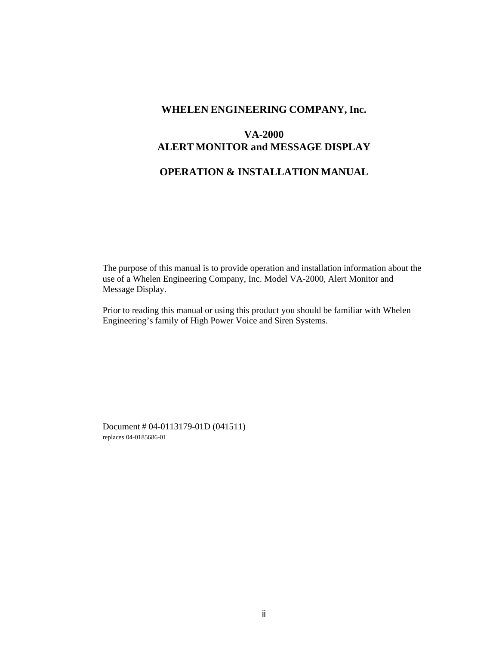## **WHELEN ENGINEERING COMPANY, Inc.**

# **VA-2000 ALERT MONITOR and MESSAGE DISPLAY**

# **OPERATION & INSTALLATION MANUAL**

The purpose of this manual is to provide operation and installation information about the use of a Whelen Engineering Company, Inc. Model VA-2000, Alert Monitor and Message Display.

Prior to reading this manual or using this product you should be familiar with Whelen Engineering's family of High Power Voice and Siren Systems.

Document # 04-0113179-01D (041511) replaces 04-0185686-01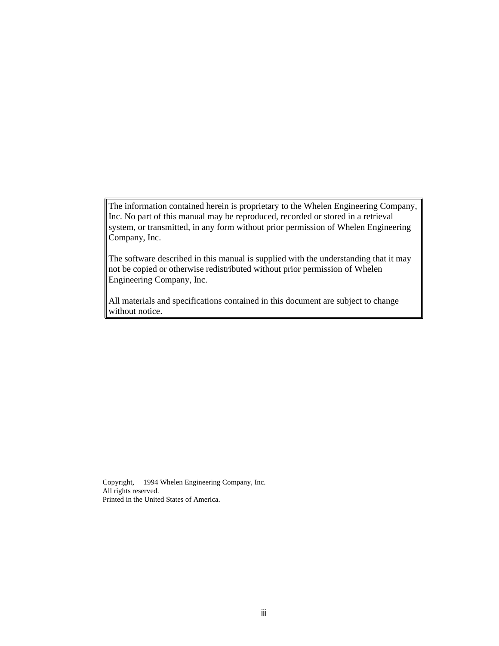The information contained herein is proprietary to the Whelen Engineering Company, Inc. No part of this manual may be reproduced, recorded or stored in a retrieval system, or transmitted, in any form without prior permission of Whelen Engineering Company, Inc.

The software described in this manual is supplied with the understanding that it may not be copied or otherwise redistributed without prior permission of Whelen Engineering Company, Inc.

All materials and specifications contained in this document are subject to change without notice.

Copyright, 1994 Whelen Engineering Company, Inc. All rights reserved. Printed in the United States of America.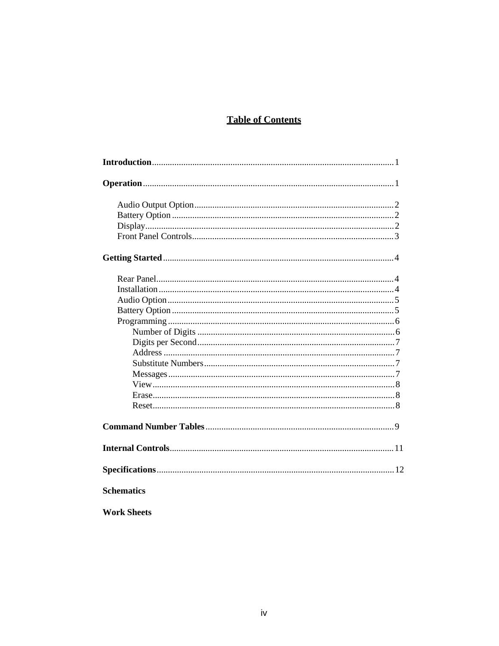# **Table of Contents**

| <b>Schematics</b>  |
|--------------------|
| <b>Work Sheets</b> |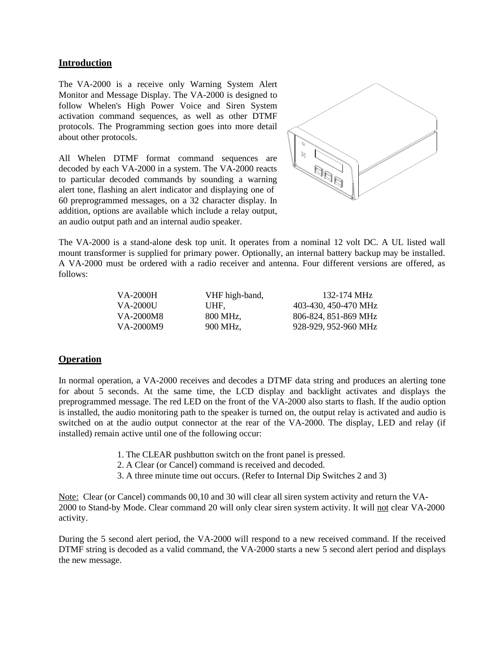## **Introduction**

The VA-2000 is a receive only Warning System Alert Monitor and Message Display. The VA-2000 is designed to follow Whelen's High Power Voice and Siren System activation command sequences, as well as other DTMF protocols. The Programming section goes into more detail about other protocols.

All Whelen DTMF format command sequences are decoded by each VA-2000 in a system. The VA-2000 reacts to particular decoded commands by sounding a warning alert tone, flashing an alert indicator and displaying one of 60 preprogrammed messages, on a 32 character display. In addition, options are available which include a relay output, an audio output path and an internal audio speaker.



The VA-2000 is a stand-alone desk top unit. It operates from a nominal 12 volt DC. A UL listed wall mount transformer is supplied for primary power. Optionally, an internal battery backup may be installed. A VA-2000 must be ordered with a radio receiver and antenna. Four different versions are offered, as follows:

| VA-2000H  | VHF high-band, | 132-174 MHz          |
|-----------|----------------|----------------------|
| VA-2000U  | UHF.           | 403-430, 450-470 MHz |
| VA-2000M8 | 800 MHz.       | 806-824, 851-869 MHz |
| VA-2000M9 | 900 MHz.       | 928-929, 952-960 MHz |
|           |                |                      |

### **Operation**

In normal operation, a VA-2000 receives and decodes a DTMF data string and produces an alerting tone for about 5 seconds. At the same time, the LCD display and backlight activates and displays the preprogrammed message. The red LED on the front of the VA-2000 also starts to flash. If the audio option is installed, the audio monitoring path to the speaker is turned on, the output relay is activated and audio is switched on at the audio output connector at the rear of the VA-2000. The display, LED and relay (if installed) remain active until one of the following occur:

- 1. The CLEAR pushbutton switch on the front panel is pressed.
- 2. A Clear (or Cancel) command is received and decoded.
- 3. A three minute time out occurs. (Refer to Internal Dip Switches 2 and 3)

Note: Clear (or Cancel) commands 00,10 and 30 will clear all siren system activity and return the VA-2000 to Stand-by Mode. Clear command 20 will only clear siren system activity. It will not clear VA-2000 activity.

During the 5 second alert period, the VA-2000 will respond to a new received command. If the received DTMF string is decoded as a valid command, the VA-2000 starts a new 5 second alert period and displays the new message.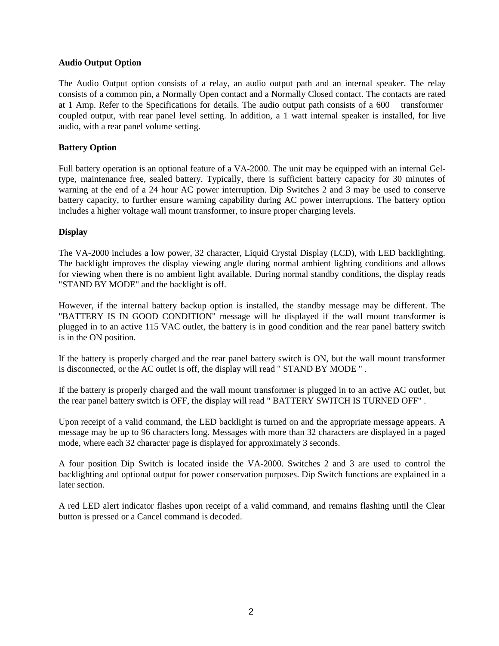#### **Audio Output Option**

The Audio Output option consists of a relay, an audio output path and an internal speaker. The relay consists of a common pin, a Normally Open contact and a Normally Closed contact. The contacts are rated at 1 Amp. Refer to the Specifications for details. The audio output path consists of a 600 transformer coupled output, with rear panel level setting. In addition, a 1 watt internal speaker is installed, for live audio, with a rear panel volume setting.

#### **Battery Option**

Full battery operation is an optional feature of a VA-2000. The unit may be equipped with an internal Geltype, maintenance free, sealed battery. Typically, there is sufficient battery capacity for 30 minutes of warning at the end of a 24 hour AC power interruption. Dip Switches 2 and 3 may be used to conserve battery capacity, to further ensure warning capability during AC power interruptions. The battery option includes a higher voltage wall mount transformer, to insure proper charging levels.

#### **Display**

The VA-2000 includes a low power, 32 character, Liquid Crystal Display (LCD), with LED backlighting. The backlight improves the display viewing angle during normal ambient lighting conditions and allows for viewing when there is no ambient light available. During normal standby conditions, the display reads "STAND BY MODE" and the backlight is off.

However, if the internal battery backup option is installed, the standby message may be different. The "BATTERY IS IN GOOD CONDITION" message will be displayed if the wall mount transformer is plugged in to an active 115 VAC outlet, the battery is in good condition and the rear panel battery switch is in the ON position.

If the battery is properly charged and the rear panel battery switch is ON, but the wall mount transformer is disconnected, or the AC outlet is off, the display will read " STAND BY MODE " .

If the battery is properly charged and the wall mount transformer is plugged in to an active AC outlet, but the rear panel battery switch is OFF, the display will read " BATTERY SWITCH IS TURNED OFF" .

Upon receipt of a valid command, the LED backlight is turned on and the appropriate message appears. A message may be up to 96 characters long. Messages with more than 32 characters are displayed in a paged mode, where each 32 character page is displayed for approximately 3 seconds.

A four position Dip Switch is located inside the VA-2000. Switches 2 and 3 are used to control the backlighting and optional output for power conservation purposes. Dip Switch functions are explained in a later section.

A red LED alert indicator flashes upon receipt of a valid command, and remains flashing until the Clear button is pressed or a Cancel command is decoded.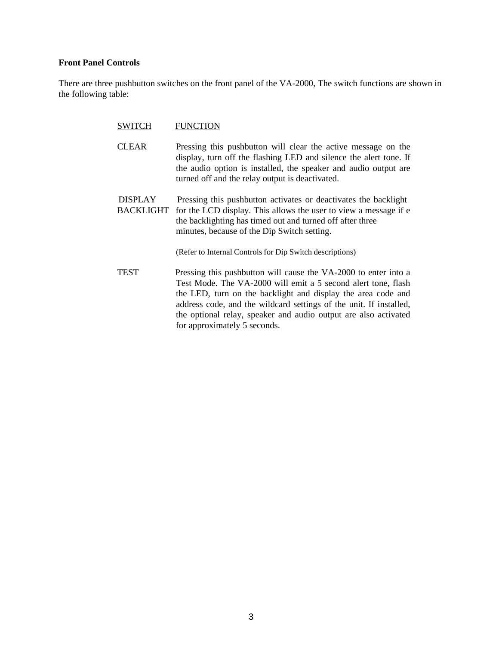## **Front Panel Controls**

There are three pushbutton switches on the front panel of the VA-2000, The switch functions are shown in the following table:

| SWITCH                             | <b>FUNCTION</b>                                                                                                                                                                                                                                                                                                                                                           |
|------------------------------------|---------------------------------------------------------------------------------------------------------------------------------------------------------------------------------------------------------------------------------------------------------------------------------------------------------------------------------------------------------------------------|
| <b>CLEAR</b>                       | Pressing this pushbutton will clear the active message on the<br>display, turn off the flashing LED and silence the alert tone. If<br>the audio option is installed, the speaker and audio output are<br>turned off and the relay output is deactivated.                                                                                                                  |
| <b>DISPLAY</b><br><b>BACKLIGHT</b> | Pressing this pushbutton activates or deactivates the backlight<br>for the LCD display. This allows the user to view a message if e<br>the backlighting has timed out and turned off after three<br>minutes, because of the Dip Switch setting.                                                                                                                           |
|                                    | (Refer to Internal Controls for Dip Switch descriptions)                                                                                                                                                                                                                                                                                                                  |
| <b>TEST</b>                        | Pressing this pushbutton will cause the VA-2000 to enter into a<br>Test Mode. The VA-2000 will emit a 5 second alert tone, flash<br>the LED, turn on the backlight and display the area code and<br>address code, and the wildcard settings of the unit. If installed,<br>the optional relay, speaker and audio output are also activated<br>for approximately 5 seconds. |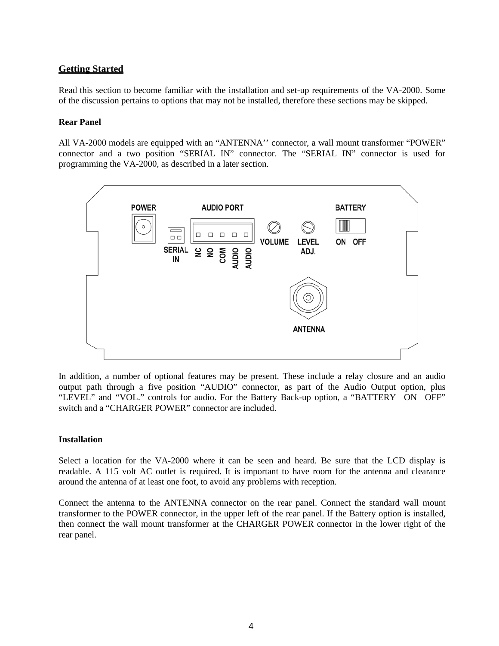## **Getting Started**

Read this section to become familiar with the installation and set-up requirements of the VA-2000. Some of the discussion pertains to options that may not be installed, therefore these sections may be skipped.

#### **Rear Panel**

All VA-2000 models are equipped with an "ANTENNA'' connector, a wall mount transformer "POWER" connector and a two position "SERIAL IN" connector. The "SERIAL IN" connector is used for programming the VA-2000, as described in a later section.



In addition, a number of optional features may be present. These include a relay closure and an audio output path through a five position "AUDIO" connector, as part of the Audio Output option, plus "LEVEL" and "VOL." controls for audio. For the Battery Back-up option, a "BATTERY ON OFF" switch and a "CHARGER POWER" connector are included.

### **Installation**

Select a location for the VA-2000 where it can be seen and heard. Be sure that the LCD display is readable. A 115 volt AC outlet is required. It is important to have room for the antenna and clearance around the antenna of at least one foot, to avoid any problems with reception.

Connect the antenna to the ANTENNA connector on the rear panel. Connect the standard wall mount transformer to the POWER connector, in the upper left of the rear panel. If the Battery option is installed, then connect the wall mount transformer at the CHARGER POWER connector in the lower right of the rear panel.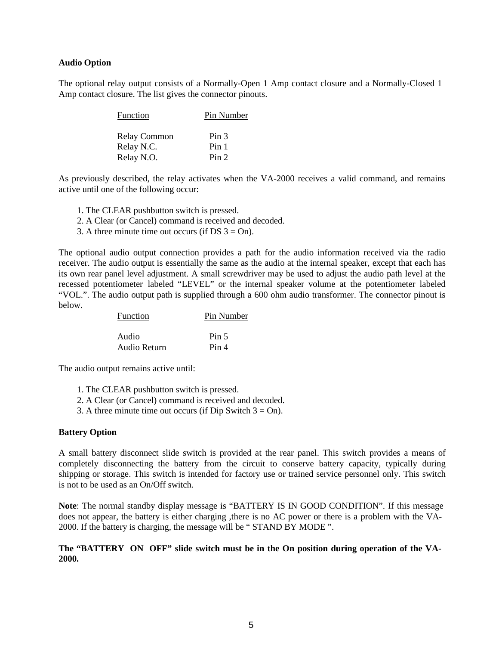#### **Audio Option**

The optional relay output consists of a Normally-Open 1 Amp contact closure and a Normally-Closed 1 Amp contact closure. The list gives the connector pinouts.

| Function            | Pin Number       |
|---------------------|------------------|
| <b>Relay Common</b> | Pin <sub>3</sub> |
| Relay N.C.          | Pin 1            |
| Relay N.O.          | Pin <sub>2</sub> |

As previously described, the relay activates when the VA-2000 receives a valid command, and remains active until one of the following occur:

- 1. The CLEAR pushbutton switch is pressed.
- 2. A Clear (or Cancel) command is received and decoded.
- 3. A three minute time out occurs (if  $DS$  3 = On).

The optional audio output connection provides a path for the audio information received via the radio receiver. The audio output is essentially the same as the audio at the internal speaker, except that each has its own rear panel level adjustment. A small screwdriver may be used to adjust the audio path level at the recessed potentiometer labeled "LEVEL" or the internal speaker volume at the potentiometer labeled "VOL.". The audio output path is supplied through a 600 ohm audio transformer. The connector pinout is below.

| <b>Function</b> | Pin Number       |
|-----------------|------------------|
| Audio           | Pin <sub>5</sub> |
| Audio Return    | Pin 4            |

The audio output remains active until:

- 1. The CLEAR pushbutton switch is pressed.
- 2. A Clear (or Cancel) command is received and decoded.
- 3. A three minute time out occurs (if Dip Switch  $3 = On$ ).

#### **Battery Option**

A small battery disconnect slide switch is provided at the rear panel. This switch provides a means of completely disconnecting the battery from the circuit to conserve battery capacity, typically during shipping or storage. This switch is intended for factory use or trained service personnel only. This switch is not to be used as an On/Off switch.

**Note**: The normal standby display message is "BATTERY IS IN GOOD CONDITION". If this message does not appear, the battery is either charging ,there is no AC power or there is a problem with the VA-2000. If the battery is charging, the message will be " STAND BY MODE ".

## **The "BATTERY ON OFF" slide switch must be in the On position during operation of the VA-2000.**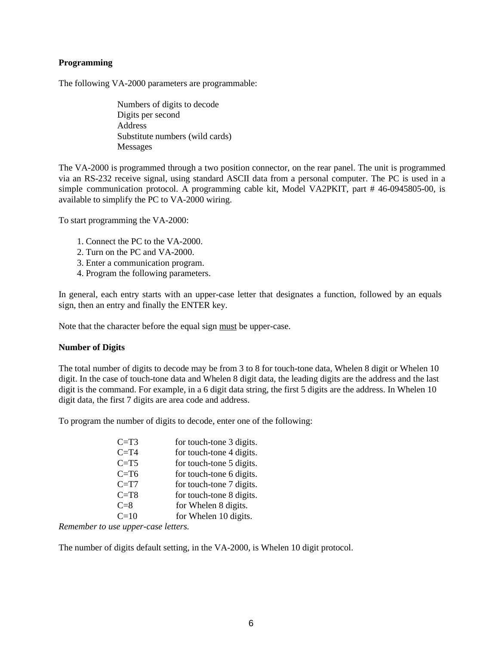## **Programming**

The following VA-2000 parameters are programmable:

Numbers of digits to decode Digits per second Address Substitute numbers (wild cards) Messages

The VA-2000 is programmed through a two position connector, on the rear panel. The unit is programmed via an RS-232 receive signal, using standard ASCII data from a personal computer. The PC is used in a simple communication protocol. A programming cable kit, Model VA2PKIT, part # 46-0945805-00, is available to simplify the PC to VA-2000 wiring.

To start programming the VA-2000:

- 1. Connect the PC to the VA-2000.
- 2. Turn on the PC and VA-2000.
- 3. Enter a communication program.
- 4. Program the following parameters.

In general, each entry starts with an upper-case letter that designates a function, followed by an equals sign, then an entry and finally the ENTER key.

Note that the character before the equal sign must be upper-case.

### **Number of Digits**

The total number of digits to decode may be from 3 to 8 for touch-tone data, Whelen 8 digit or Whelen 10 digit. In the case of touch-tone data and Whelen 8 digit data, the leading digits are the address and the last digit is the command. For example, in a 6 digit data string, the first 5 digits are the address. In Whelen 10 digit data, the first 7 digits are area code and address.

To program the number of digits to decode, enter one of the following:

| $C=T3$   | for touch-tone 3 digits. |
|----------|--------------------------|
| $C = T4$ | for touch-tone 4 digits. |
| $C=T5$   | for touch-tone 5 digits. |
| $C = T6$ | for touch-tone 6 digits. |
| $C = T7$ | for touch-tone 7 digits. |
| $C = T8$ | for touch-tone 8 digits. |
| $C=8$    | for Whelen 8 digits.     |
| $C=10$   | for Whelen 10 digits.    |
|          |                          |

*Remember to use upper-case letters.*

The number of digits default setting, in the VA-2000, is Whelen 10 digit protocol.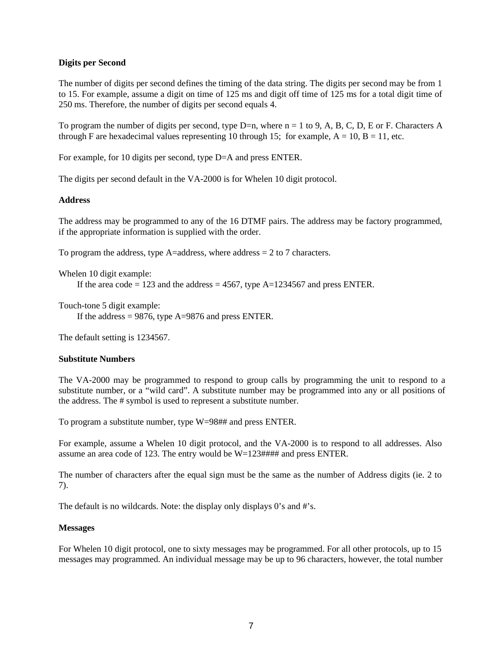## **Digits per Second**

The number of digits per second defines the timing of the data string. The digits per second may be from 1 to 15. For example, assume a digit on time of 125 ms and digit off time of 125 ms for a total digit time of 250 ms. Therefore, the number of digits per second equals 4.

To program the number of digits per second, type  $D=n$ , where  $n = 1$  to 9, A, B, C, D, E or F. Characters A through F are hexadecimal values representing 10 through 15; for example,  $A = 10$ ,  $B = 11$ , etc.

For example, for 10 digits per second, type D=A and press ENTER.

The digits per second default in the VA-2000 is for Whelen 10 digit protocol.

### **Address**

The address may be programmed to any of the 16 DTMF pairs. The address may be factory programmed, if the appropriate information is supplied with the order.

To program the address, type A=address, where address  $= 2$  to 7 characters.

Whelen 10 digit example:

If the area code = 123 and the address = 4567, type  $A=1234567$  and press ENTER.

Touch-tone 5 digit example:

If the address  $= 9876$ , type A=9876 and press ENTER.

The default setting is 1234567.

### **Substitute Numbers**

The VA-2000 may be programmed to respond to group calls by programming the unit to respond to a substitute number, or a "wild card". A substitute number may be programmed into any or all positions of the address. The # symbol is used to represent a substitute number.

To program a substitute number, type W=98## and press ENTER.

For example, assume a Whelen 10 digit protocol, and the VA-2000 is to respond to all addresses. Also assume an area code of 123. The entry would be W=123#### and press ENTER.

The number of characters after the equal sign must be the same as the number of Address digits (ie. 2 to 7).

The default is no wildcards. Note: the display only displays 0's and #'s.

### **Messages**

For Whelen 10 digit protocol, one to sixty messages may be programmed. For all other protocols, up to 15 messages may programmed. An individual message may be up to 96 characters, however, the total number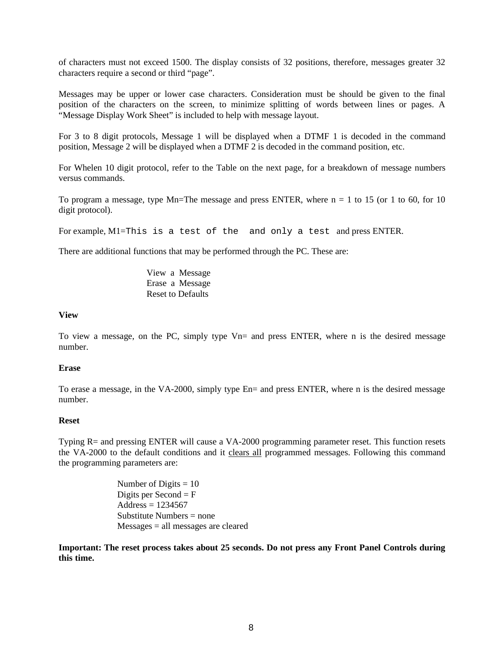of characters must not exceed 1500. The display consists of 32 positions, therefore, messages greater 32 characters require a second or third "page".

Messages may be upper or lower case characters. Consideration must be should be given to the final position of the characters on the screen, to minimize splitting of words between lines or pages. A "Message Display Work Sheet" is included to help with message layout.

For 3 to 8 digit protocols, Message 1 will be displayed when a DTMF 1 is decoded in the command position, Message 2 will be displayed when a DTMF 2 is decoded in the command position, etc.

For Whelen 10 digit protocol, refer to the Table on the next page, for a breakdown of message numbers versus commands.

To program a message, type Mn=The message and press ENTER, where  $n = 1$  to 15 (or 1 to 60, for 10 digit protocol).

For example, M1=This is a test of the and only a test and press ENTER.

There are additional functions that may be performed through the PC. These are:

View a Message Erase a Message Reset to Defaults

#### **View**

To view a message, on the PC, simply type Vn= and press ENTER, where n is the desired message number.

#### **Erase**

To erase a message, in the VA-2000, simply type En= and press ENTER, where n is the desired message number.

#### **Reset**

Typing R= and pressing ENTER will cause a VA-2000 programming parameter reset. This function resets the VA-2000 to the default conditions and it clears all programmed messages. Following this command the programming parameters are:

> Number of Digits  $= 10$ Digits per Second  $=$  F  $Address = 1234567$ Substitute Numbers = none Messages = all messages are cleared

**Important: The reset process takes about 25 seconds. Do not press any Front Panel Controls during this time.**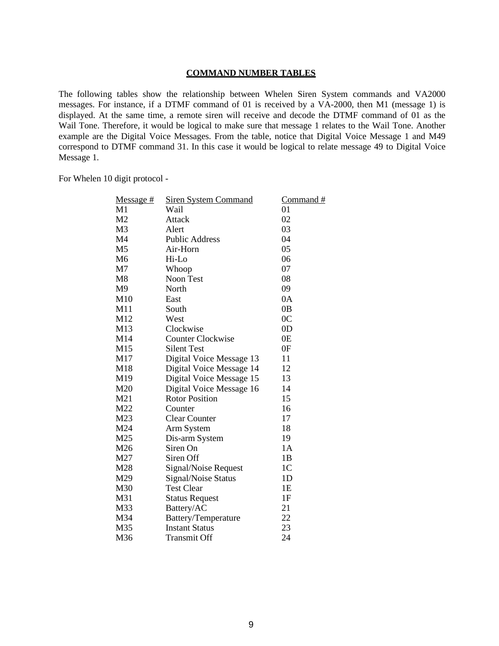#### **COMMAND NUMBER TABLES**

The following tables show the relationship between Whelen Siren System commands and VA2000 messages. For instance, if a DTMF command of 01 is received by a VA-2000, then M1 (message 1) is displayed. At the same time, a remote siren will receive and decode the DTMF command of 01 as the Wail Tone. Therefore, it would be logical to make sure that message 1 relates to the Wail Tone. Another example are the Digital Voice Messages. From the table, notice that Digital Voice Message 1 and M49 correspond to DTMF command 31. In this case it would be logical to relate message 49 to Digital Voice Message 1.

For Whelen 10 digit protocol -

| <u>Message #</u> | <b>Siren System Command</b> | <u>Command #</u> |
|------------------|-----------------------------|------------------|
| M1               | Wail                        | 01               |
| M <sub>2</sub>   | Attack                      | 02               |
| M3               | Alert                       | 03               |
| M4               | <b>Public Address</b>       | 04               |
| M <sub>5</sub>   | Air-Horn                    | 05               |
| M6               | Hi-Lo                       | 06               |
| M <sub>7</sub>   | Whoop                       | 07               |
| M8               | Noon Test                   | 08               |
| M9               | North                       | 09               |
| M10              | East                        | 0A               |
| M11              | South                       | 0 <sub>B</sub>   |
| M12              | West                        | 0 <sup>C</sup>   |
| M13              | Clockwise                   | 0 <sub>D</sub>   |
| M14              | <b>Counter Clockwise</b>    | 0 <sub>E</sub>   |
| M15              | <b>Silent Test</b>          | 0F               |
| M17              | Digital Voice Message 13    | 11               |
| M18              | Digital Voice Message 14    | 12               |
| M19              | Digital Voice Message 15    | 13               |
| M20              | Digital Voice Message 16    | 14               |
| M21              | <b>Rotor Position</b>       | 15               |
| M22              | Counter                     | 16               |
| M23              | <b>Clear Counter</b>        | 17               |
| M24              | Arm System                  | 18               |
| M25              | Dis-arm System              | 19               |
| M26              | Siren On                    | 1A               |
| M27              | Siren Off                   | 1B               |
| M28              | Signal/Noise Request        | 1 <sup>C</sup>   |
| M29              | Signal/Noise Status         | 1D               |
| M30              | <b>Test Clear</b>           | 1E               |
| M31              | <b>Status Request</b>       | 1F               |
| M33              | Battery/AC                  | 21               |
| M34              | Battery/Temperature         | 22               |
| M35              | <b>Instant Status</b>       | 23               |
| M36              | <b>Transmit Off</b>         | 24               |
|                  |                             |                  |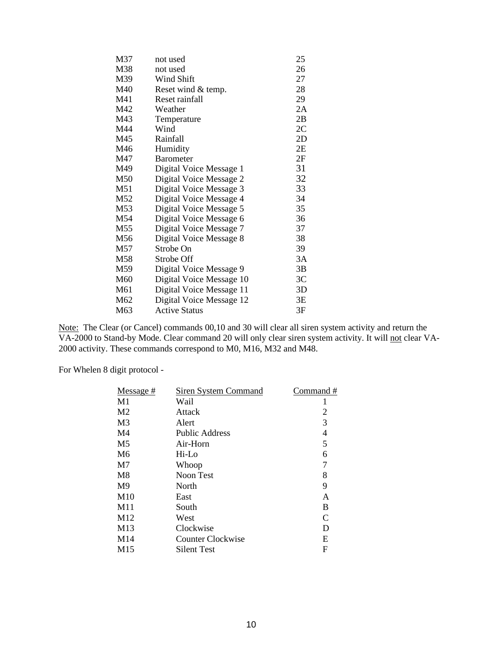| not used                 | 25                                                   |
|--------------------------|------------------------------------------------------|
| not used                 | 26                                                   |
| Wind Shift               | 27                                                   |
| Reset wind & temp.       | 28                                                   |
| Reset rainfall           | 29                                                   |
| Weather                  | 2A                                                   |
| Temperature              | 2B                                                   |
| Wind                     | 2C                                                   |
| Rainfall                 | 2D                                                   |
| Humidity                 | 2E                                                   |
| <b>Barometer</b>         | 2F                                                   |
| Digital Voice Message 1  | 31                                                   |
| Digital Voice Message 2  | 32                                                   |
| Digital Voice Message 3  | 33                                                   |
| Digital Voice Message 4  | 34                                                   |
| Digital Voice Message 5  | 35                                                   |
| Digital Voice Message 6  | 36                                                   |
| Digital Voice Message 7  | 37                                                   |
| Digital Voice Message 8  | 38                                                   |
| Strobe On                | 39                                                   |
| Strobe Off               | 3A                                                   |
| Digital Voice Message 9  | 3B                                                   |
| Digital Voice Message 10 | 3 <sup>C</sup>                                       |
|                          | 3D                                                   |
|                          | 3E                                                   |
| <b>Active Status</b>     | 3F                                                   |
|                          | Digital Voice Message 11<br>Digital Voice Message 12 |

Note: The Clear (or Cancel) commands 00,10 and 30 will clear all siren system activity and return the VA-2000 to Stand-by Mode. Clear command 20 will only clear siren system activity. It will not clear VA-2000 activity. These commands correspond to M0, M16, M32 and M48.

For Whelen 8 digit protocol -

| Siren System Command  | Command #     |
|-----------------------|---------------|
| Wail                  |               |
| Attack                | 2             |
| Alert                 | 3             |
| <b>Public Address</b> | 4             |
| Air-Horn              | 5             |
| $Hi$ -Lo              | 6             |
| Whoop                 | 7             |
| Noon Test             | 8             |
| North                 | 9             |
| East                  | A             |
| South                 | B             |
| West                  | $\mathcal{C}$ |
| Clockwise             | D             |
| Counter Clockwise     | E             |
| <b>Silent Test</b>    | F             |
|                       |               |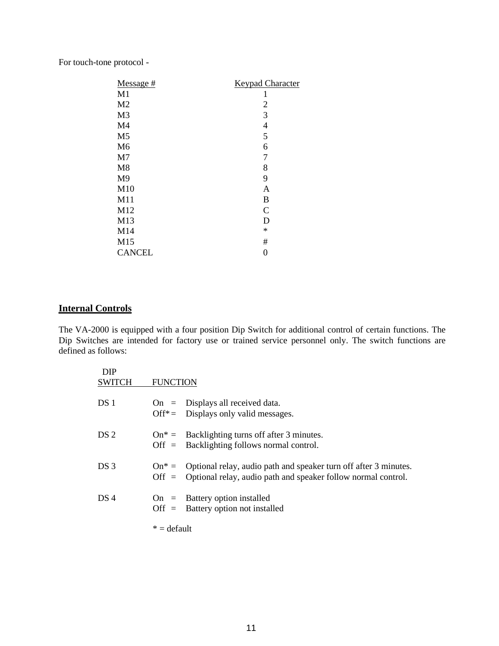For touch-tone protocol -

| $Message #$    | <b>Keypad Character</b> |
|----------------|-------------------------|
| M1             | 1                       |
| M <sub>2</sub> | 2                       |
| M <sub>3</sub> | 3                       |
| M <sub>4</sub> | 4                       |
| M <sub>5</sub> | 5                       |
| M <sub>6</sub> | 6                       |
| M <sub>7</sub> | 7                       |
| M8             | 8                       |
| M <sub>9</sub> | 9                       |
| M10            | A                       |
| M11            | B                       |
| M12            | $\mathcal{C}$           |
| M13            | D                       |
| M14            | $\ast$                  |
| M15            | #                       |
| <b>CANCEL</b>  | 0                       |

## **Internal Controls**

The VA-2000 is equipped with a four position Dip Switch for additional control of certain functions. The Dip Switches are intended for factory use or trained service personnel only. The switch functions are defined as follows:

| <b>DIP</b><br><b>SWITCH</b> | <b>FUNCTION</b> |                                                                                                                                                    |
|-----------------------------|-----------------|----------------------------------------------------------------------------------------------------------------------------------------------------|
| DS 1                        |                 | $On = Displays all received data.$<br>Off <sup>*</sup> = Displays only valid messages.                                                             |
| DS 2                        |                 | $On^* =$ Backlighting turns off after 3 minutes.<br>$\text{Off} = \text{Backlighting follows normal control.}$                                     |
| DS <sub>3</sub>             |                 | $On^* =$ Optional relay, audio path and speaker turn off after 3 minutes.<br>Off $=$ Optional relay, audio path and speaker follow normal control. |
| DS 4                        |                 | $On =$ Battery option installed<br>$\text{Off} = \text{Battery option not installed}$                                                              |
|                             | $* =$ default   |                                                                                                                                                    |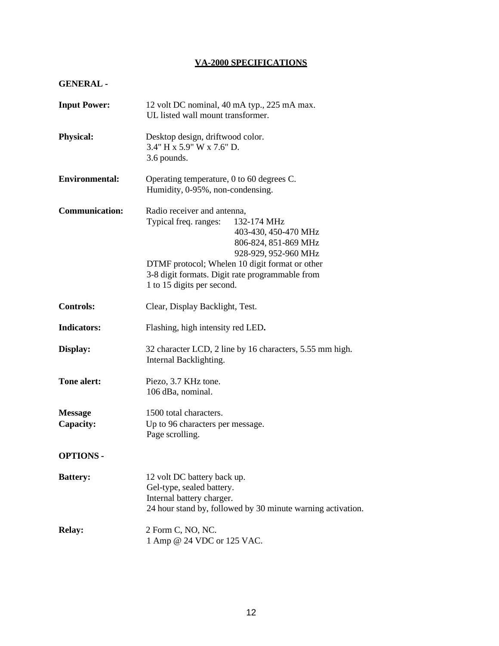## **VA-2000 SPECIFICATIONS**

## **GENERAL -**

| <b>Input Power:</b>         | 12 volt DC nominal, 40 mA typ., 225 mA max.<br>UL listed wall mount transformer.                                                                                                                                                                                               |
|-----------------------------|--------------------------------------------------------------------------------------------------------------------------------------------------------------------------------------------------------------------------------------------------------------------------------|
| <b>Physical:</b>            | Desktop design, driftwood color.<br>3.4" H x 5.9" W x 7.6" D.<br>3.6 pounds.                                                                                                                                                                                                   |
| <b>Environmental:</b>       | Operating temperature, 0 to 60 degrees C.<br>Humidity, 0-95%, non-condensing.                                                                                                                                                                                                  |
| <b>Communication:</b>       | Radio receiver and antenna,<br>Typical freq. ranges:<br>132-174 MHz<br>403-430, 450-470 MHz<br>806-824, 851-869 MHz<br>928-929, 952-960 MHz<br>DTMF protocol; Whelen 10 digit format or other<br>3-8 digit formats. Digit rate programmable from<br>1 to 15 digits per second. |
| <b>Controls:</b>            | Clear, Display Backlight, Test.                                                                                                                                                                                                                                                |
| <b>Indicators:</b>          | Flashing, high intensity red LED.                                                                                                                                                                                                                                              |
| Display:                    | 32 character LCD, 2 line by 16 characters, 5.55 mm high.<br>Internal Backlighting.                                                                                                                                                                                             |
| <b>Tone alert:</b>          | Piezo, 3.7 KHz tone.<br>106 dBa, nominal.                                                                                                                                                                                                                                      |
| <b>Message</b><br>Capacity: | 1500 total characters.<br>Up to 96 characters per message.<br>Page scrolling.                                                                                                                                                                                                  |
| <b>OPTIONS -</b>            |                                                                                                                                                                                                                                                                                |
| <b>Battery:</b>             | 12 volt DC battery back up.<br>Gel-type, sealed battery.<br>Internal battery charger.<br>24 hour stand by, followed by 30 minute warning activation.                                                                                                                           |
| <b>Relay:</b>               | 2 Form C, NO, NC.<br>1 Amp @ 24 VDC or 125 VAC.                                                                                                                                                                                                                                |